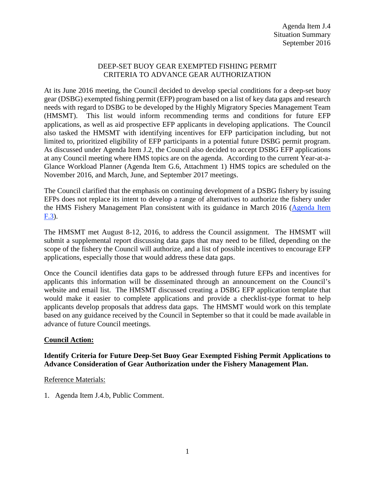### DEEP-SET BUOY GEAR EXEMPTED FISHING PERMIT CRITERIA TO ADVANCE GEAR AUTHORIZATION

At its June 2016 meeting, the Council decided to develop special conditions for a deep-set buoy gear (DSBG) exempted fishing permit (EFP) program based on a list of key data gaps and research needs with regard to DSBG to be developed by the Highly Migratory Species Management Team (HMSMT). This list would inform recommending terms and conditions for future EFP applications, as well as aid prospective EFP applicants in developing applications. The Council also tasked the HMSMT with identifying incentives for EFP participation including, but not limited to, prioritized eligibility of EFP participants in a potential future DSBG permit program. As discussed under Agenda Item J.2, the Council also decided to accept DSBG EFP applications at any Council meeting where HMS topics are on the agenda. According to the current Year-at-a-Glance Workload Planner (Agenda Item G.6, Attachment 1) HMS topics are scheduled on the November 2016, and March, June, and September 2017 meetings.

The Council clarified that the emphasis on continuing development of a DSBG fishery by issuing EFPs does not replace its intent to develop a range of alternatives to authorize the fishery under the HMS Fishery Management Plan consistent with its guidance in March 2016 [\(Agenda Item](http://www.pcouncil.org/wp-content/uploads/2016/02/F3__SitSum_DSBG_Scoping_MAR2016BB.pdf)  [F.3\)](http://www.pcouncil.org/wp-content/uploads/2016/02/F3__SitSum_DSBG_Scoping_MAR2016BB.pdf).

The HMSMT met August 8-12, 2016, to address the Council assignment. The HMSMT will submit a supplemental report discussing data gaps that may need to be filled, depending on the scope of the fishery the Council will authorize, and a list of possible incentives to encourage EFP applications, especially those that would address these data gaps.

Once the Council identifies data gaps to be addressed through future EFPs and incentives for applicants this information will be disseminated through an announcement on the Council's website and email list. The HMSMT discussed creating a DSBG EFP application template that would make it easier to complete applications and provide a checklist-type format to help applicants develop proposals that address data gaps. The HMSMT would work on this template based on any guidance received by the Council in September so that it could be made available in advance of future Council meetings.

## **Council Action:**

## **Identify Criteria for Future Deep-Set Buoy Gear Exempted Fishing Permit Applications to Advance Consideration of Gear Authorization under the Fishery Management Plan.**

#### Reference Materials:

1. Agenda Item J.4.b, Public Comment.